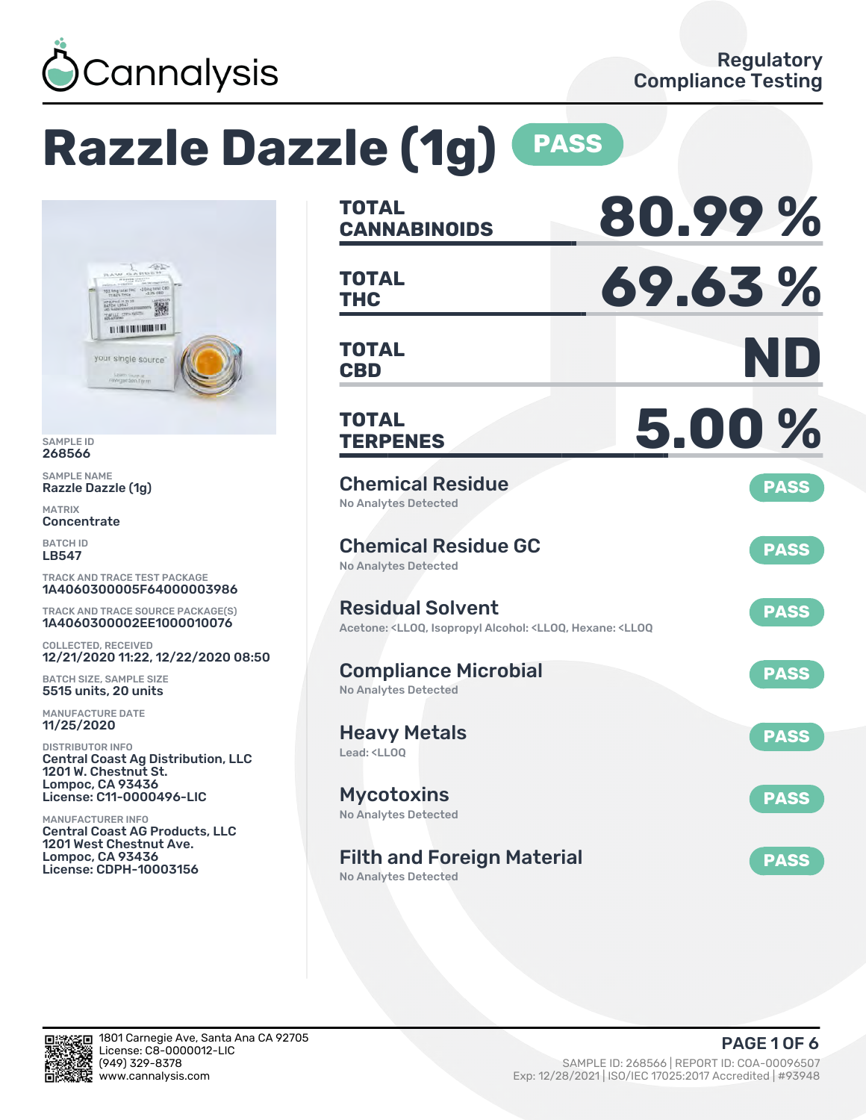

# **Razzle Dazzle (1g) PASS**



SAMPLE ID 268566

SAMPLE NAME Razzle Dazzle (1g)

MATRIX **Concentrate** 

BATCH ID LB547

TRACK AND TRACE TEST PACKAGE 1A4060300005F64000003986

TRACK AND TRACE SOURCE PACKAGE(S) 1A4060300002EE1000010076

COLLECTED, RECEIVED 12/21/2020 11:22, 12/22/2020 08:50

BATCH SIZE, SAMPLE SIZE 5515 units, 20 units

MANUFACTURE DATE 11/25/2020

DISTRIBUTOR INFO Central Coast Ag Distribution, LLC 1201 W. Chestnut St. Lompoc, CA 93436 License: C11-0000496-LIC

MANUFACTURER INFO Central Coast AG Products, LLC 1201 West Chestnut Ave. Lompoc, CA 93436 License: CDPH-10003156

| <b>TOTAL</b><br><b>CANNABINOIDS</b>                                                                                                   | 80.99%      |
|---------------------------------------------------------------------------------------------------------------------------------------|-------------|
| <b>TOTAL</b><br>THC                                                                                                                   | 69.63%      |
| <b>TOTAL</b><br><b>CBD</b>                                                                                                            | ND          |
| <b>TOTAL</b><br><b>TERPENES</b>                                                                                                       | 5.00%       |
| <b>Chemical Residue</b><br><b>No Analytes Detected</b>                                                                                | <b>PASS</b> |
| <b>Chemical Residue GC</b><br><b>No Analytes Detected</b>                                                                             | <b>PASS</b> |
| <b>Residual Solvent</b><br>Acetone: <lloq, <lloq,="" <lloq<="" alcohol:="" hexane:="" isopropyl="" td=""><td><b>PASS</b></td></lloq,> | <b>PASS</b> |
| <b>Compliance Microbial</b><br><b>No Analytes Detected</b>                                                                            | <b>PASS</b> |
| <b>Heavy Metals</b><br>Lead: <ll00< td=""><td><b>PASS</b></td></ll00<>                                                                | <b>PASS</b> |
| <b>Mycotoxins</b><br>No Analytes Detected                                                                                             | <b>PASS</b> |
| <b>Filth and Foreign Material</b><br><b>No Analytes Detected</b>                                                                      | <b>PASS</b> |

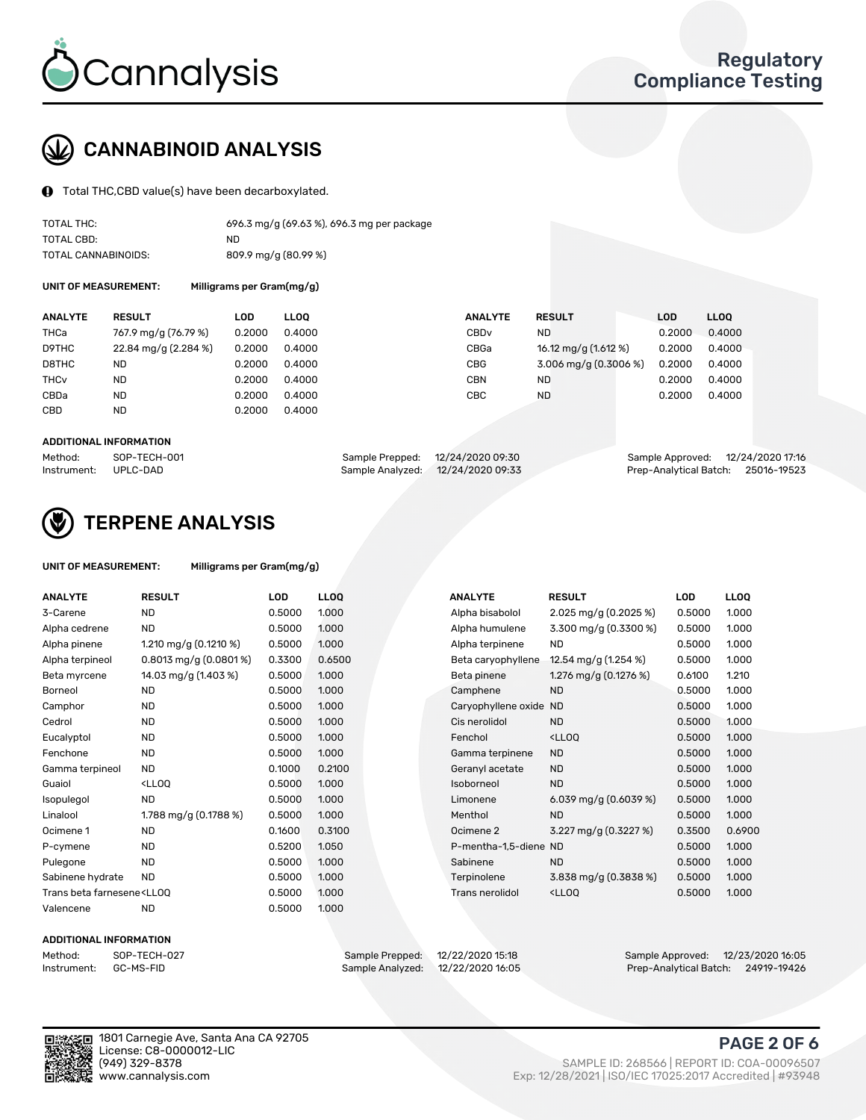

## CANNABINOID ANALYSIS

Total THC,CBD value(s) have been decarboxylated.

| TOTAL THC:          | 696.3 mg/g (69.63 %), 696.3 mg per package |
|---------------------|--------------------------------------------|
| TOTAL CBD:          | ND                                         |
| TOTAL CANNABINOIDS: | 809.9 mg/g (80.99 %)                       |

UNIT OF MEASUREMENT: Milligrams per Gram(mg/g)

| <b>ANALYTE</b>         | <b>RESULT</b>        | LOD    | <b>LLOO</b> | <b>ANALYTE</b>   | <b>RESULT</b>           | <b>LOD</b> | <b>LLOO</b> |
|------------------------|----------------------|--------|-------------|------------------|-------------------------|------------|-------------|
| THCa                   | 767.9 mg/g (76.79 %) | 0.2000 | 0.4000      | CBD <sub>v</sub> | ND.                     | 0.2000     | 0.4000      |
| D9THC                  | 22.84 mg/g (2.284 %) | 0.2000 | 0.4000      | CBGa             | 16.12 mg/g (1.612 %)    | 0.2000     | 0.4000      |
| D8THC                  | <b>ND</b>            | 0.2000 | 0.4000      | <b>CBG</b>       | $3.006$ mg/g (0.3006 %) | 0.2000     | 0.4000      |
| <b>THC<sub>v</sub></b> | <b>ND</b>            | 0.2000 | 0.4000      | <b>CBN</b>       | ND.                     | 0.2000     | 0.4000      |
| CBDa                   | <b>ND</b>            | 0.2000 | 0.4000      | <b>CBC</b>       | ND.                     | 0.2000     | 0.4000      |
| CBD                    | <b>ND</b>            | 0.2000 | 0.4000      |                  |                         |            |             |

#### ADDITIONAL INFORMATION

| Method:              | SOP-TECH-001 | Sample Prepped: 12/24/2020 09:30  | Sample Approved: 12/24/2020 17:16  |  |
|----------------------|--------------|-----------------------------------|------------------------------------|--|
| Instrument: UPLC-DAD |              | Sample Analyzed: 12/24/2020 09:33 | Prep-Analytical Batch: 25016-19523 |  |



## TERPENE ANALYSIS

| UNIT OF MEASUREMENT: | Milligrams per Gram(mg/g) |
|----------------------|---------------------------|
|                      |                           |

| <b>ANALYTE</b>                                                                                                                                                             | <b>RESULT</b>                                                                                                        | <b>LOD</b> | <b>LLOQ</b> | <b>ANALYTE</b>         | <b>RESULT</b>                                      | <b>LOD</b> | <b>LLOQ</b> |
|----------------------------------------------------------------------------------------------------------------------------------------------------------------------------|----------------------------------------------------------------------------------------------------------------------|------------|-------------|------------------------|----------------------------------------------------|------------|-------------|
| 3-Carene                                                                                                                                                                   | <b>ND</b>                                                                                                            | 0.5000     | 1.000       | Alpha bisabolol        | 2.025 mg/g $(0.2025\%)$                            | 0.5000     | 1.000       |
| Alpha cedrene                                                                                                                                                              | <b>ND</b>                                                                                                            | 0.5000     | 1.000       | Alpha humulene         | 3.300 mg/g (0.3300 %)                              | 0.5000     | 1.000       |
| Alpha pinene                                                                                                                                                               | 1.210 mg/g $(0.1210 \%)$                                                                                             | 0.5000     | 1.000       | Alpha terpinene        | <b>ND</b>                                          | 0.5000     | 1.000       |
| Alpha terpineol                                                                                                                                                            | $0.8013$ mg/g $(0.0801\%)$                                                                                           | 0.3300     | 0.6500      | Beta caryophyllene     | 12.54 mg/g (1.254 %)                               | 0.5000     | 1.000       |
| Beta myrcene                                                                                                                                                               | 14.03 mg/g (1.403 %)                                                                                                 | 0.5000     | 1.000       | Beta pinene            | 1.276 mg/g $(0.1276%)$                             | 0.6100     | 1.210       |
| <b>Borneol</b>                                                                                                                                                             | <b>ND</b>                                                                                                            | 0.5000     | 1.000       | Camphene               | <b>ND</b>                                          | 0.5000     | 1.000       |
| Camphor                                                                                                                                                                    | <b>ND</b>                                                                                                            | 0.5000     | 1.000       | Caryophyllene oxide ND |                                                    | 0.5000     | 1.000       |
| Cedrol                                                                                                                                                                     | <b>ND</b>                                                                                                            | 0.5000     | 1.000       | Cis nerolidol          | <b>ND</b>                                          | 0.5000     | 1.000       |
| Eucalyptol                                                                                                                                                                 | <b>ND</b>                                                                                                            | 0.5000     | 1.000       | Fenchol                | <lloq< td=""><td>0.5000</td><td>1.000</td></lloq<> | 0.5000     | 1.000       |
| Fenchone                                                                                                                                                                   | <b>ND</b>                                                                                                            | 0.5000     | 1.000       | Gamma terpinene        | <b>ND</b>                                          | 0.5000     | 1.000       |
| Gamma terpineol                                                                                                                                                            | <b>ND</b>                                                                                                            | 0.1000     | 0.2100      | Geranyl acetate        | <b>ND</b>                                          | 0.5000     | 1.000       |
| Guaiol                                                                                                                                                                     | <ll0q< td=""><td>0.5000</td><td>1.000</td><td>Isoborneol</td><td><b>ND</b></td><td>0.5000</td><td>1.000</td></ll0q<> | 0.5000     | 1.000       | Isoborneol             | <b>ND</b>                                          | 0.5000     | 1.000       |
| Isopulegol                                                                                                                                                                 | <b>ND</b>                                                                                                            | 0.5000     | 1.000       | Limonene               | 6.039 mg/g (0.6039 %)                              | 0.5000     | 1.000       |
| Linalool                                                                                                                                                                   | 1.788 mg/g $(0.1788\%)$                                                                                              | 0.5000     | 1.000       | Menthol                | <b>ND</b>                                          | 0.5000     | 1.000       |
| Ocimene 1                                                                                                                                                                  | <b>ND</b>                                                                                                            | 0.1600     | 0.3100      | Ocimene 2              | 3.227 mg/g (0.3227 %)                              | 0.3500     | 0.6900      |
| P-cymene                                                                                                                                                                   | <b>ND</b>                                                                                                            | 0.5200     | 1.050       | P-mentha-1,5-diene ND  |                                                    | 0.5000     | 1.000       |
| Pulegone                                                                                                                                                                   | <b>ND</b>                                                                                                            | 0.5000     | 1.000       | Sabinene               | <b>ND</b>                                          | 0.5000     | 1.000       |
| Sabinene hydrate                                                                                                                                                           | <b>ND</b>                                                                                                            | 0.5000     | 1.000       | Terpinolene            | 3.838 mg/g $(0.3838\%)$                            | 0.5000     | 1.000       |
| Trans beta farnesene <ll00< td=""><td></td><td>0.5000</td><td>1.000</td><td><b>Trans nerolidol</b></td><td><lloq< td=""><td>0.5000</td><td>1.000</td></lloq<></td></ll00<> |                                                                                                                      | 0.5000     | 1.000       | <b>Trans nerolidol</b> | <lloq< td=""><td>0.5000</td><td>1.000</td></lloq<> | 0.5000     | 1.000       |
| Valencene                                                                                                                                                                  | <b>ND</b>                                                                                                            | 0.5000     | 1.000       |                        |                                                    |            |             |

#### ADDITIONAL INFORMATION



Method: SOP-TECH-027 Sample Prepped: 12/22/2020 15:18 Sample Approved: 12/23/2020 16:05 Prep-Analytical Batch: 24919-19426



1801 Carnegie Ave, Santa Ana CA 92705 License: C8-0000012-LIC<br>(949) 329-8378

## PAGE 2 OF 6

(949) 329-8378 SAMPLE ID: 268566 | REPORT ID: COA-00096507 Exp: 12/28/2021 | ISO/IEC 17025:2017 Accredited | #93948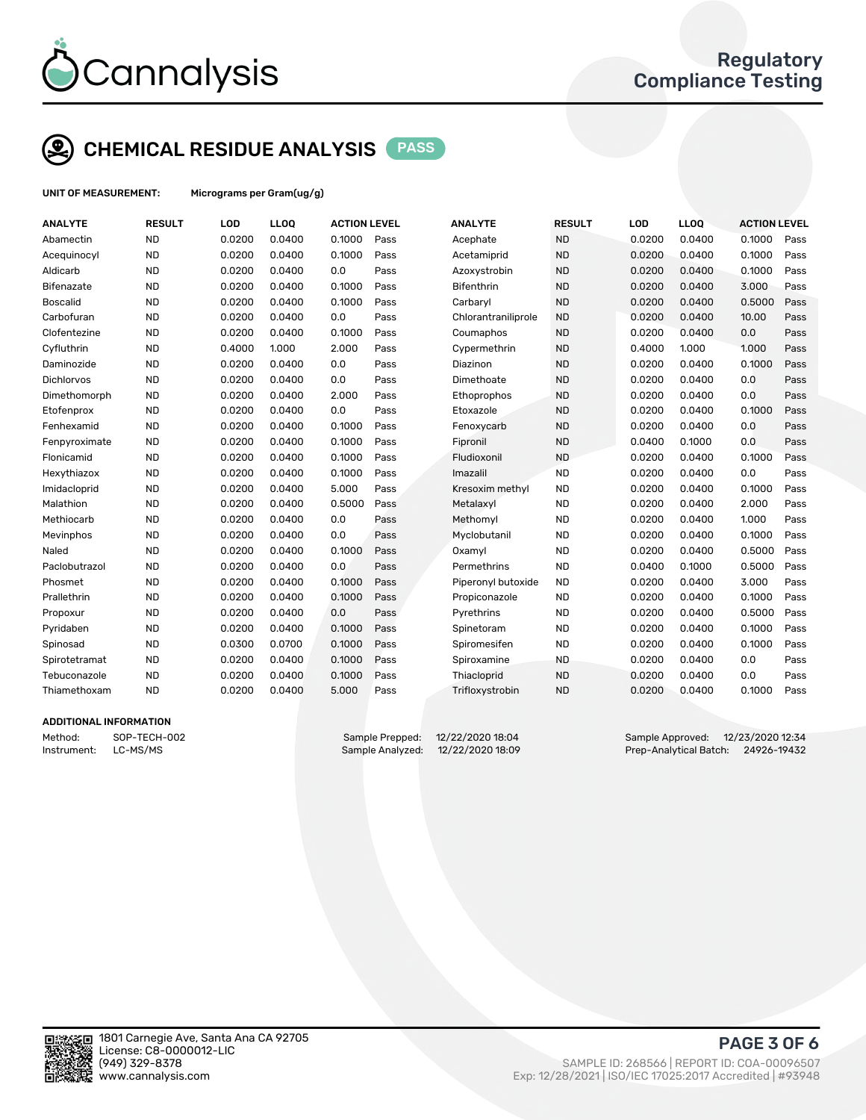

## CHEMICAL RESIDUE ANALYSIS PASS

UNIT OF MEASUREMENT: Micrograms per Gram(ug/g)

| <b>ANALYTE</b>    | <b>RESULT</b> | <b>LOD</b> | LLOQ   | <b>ACTION LEVEL</b> |      | <b>ANALYTE</b>      | <b>RESULT</b> | LOD    | <b>LLOQ</b> | <b>ACTION LEVEL</b> |      |
|-------------------|---------------|------------|--------|---------------------|------|---------------------|---------------|--------|-------------|---------------------|------|
| Abamectin         | <b>ND</b>     | 0.0200     | 0.0400 | 0.1000              | Pass | Acephate            | <b>ND</b>     | 0.0200 | 0.0400      | 0.1000              | Pass |
| Acequinocyl       | <b>ND</b>     | 0.0200     | 0.0400 | 0.1000              | Pass | Acetamiprid         | <b>ND</b>     | 0.0200 | 0.0400      | 0.1000              | Pass |
| Aldicarb          | <b>ND</b>     | 0.0200     | 0.0400 | 0.0                 | Pass | Azoxystrobin        | <b>ND</b>     | 0.0200 | 0.0400      | 0.1000              | Pass |
| Bifenazate        | <b>ND</b>     | 0.0200     | 0.0400 | 0.1000              | Pass | <b>Bifenthrin</b>   | <b>ND</b>     | 0.0200 | 0.0400      | 3.000               | Pass |
| Boscalid          | <b>ND</b>     | 0.0200     | 0.0400 | 0.1000              | Pass | Carbaryl            | <b>ND</b>     | 0.0200 | 0.0400      | 0.5000              | Pass |
| Carbofuran        | <b>ND</b>     | 0.0200     | 0.0400 | 0.0                 | Pass | Chlorantraniliprole | <b>ND</b>     | 0.0200 | 0.0400      | 10.00               | Pass |
| Clofentezine      | <b>ND</b>     | 0.0200     | 0.0400 | 0.1000              | Pass | Coumaphos           | <b>ND</b>     | 0.0200 | 0.0400      | 0.0                 | Pass |
| Cyfluthrin        | <b>ND</b>     | 0.4000     | 1.000  | 2.000               | Pass | Cypermethrin        | <b>ND</b>     | 0.4000 | 1.000       | 1.000               | Pass |
| Daminozide        | <b>ND</b>     | 0.0200     | 0.0400 | 0.0                 | Pass | Diazinon            | <b>ND</b>     | 0.0200 | 0.0400      | 0.1000              | Pass |
| <b>Dichlorvos</b> | <b>ND</b>     | 0.0200     | 0.0400 | 0.0                 | Pass | Dimethoate          | <b>ND</b>     | 0.0200 | 0.0400      | 0.0                 | Pass |
| Dimethomorph      | <b>ND</b>     | 0.0200     | 0.0400 | 2.000               | Pass | Ethoprophos         | <b>ND</b>     | 0.0200 | 0.0400      | 0.0                 | Pass |
| Etofenprox        | <b>ND</b>     | 0.0200     | 0.0400 | 0.0                 | Pass | Etoxazole           | <b>ND</b>     | 0.0200 | 0.0400      | 0.1000              | Pass |
| Fenhexamid        | <b>ND</b>     | 0.0200     | 0.0400 | 0.1000              | Pass | Fenoxycarb          | <b>ND</b>     | 0.0200 | 0.0400      | 0.0                 | Pass |
| Fenpyroximate     | <b>ND</b>     | 0.0200     | 0.0400 | 0.1000              | Pass | Fipronil            | <b>ND</b>     | 0.0400 | 0.1000      | 0.0                 | Pass |
| Flonicamid        | <b>ND</b>     | 0.0200     | 0.0400 | 0.1000              | Pass | Fludioxonil         | <b>ND</b>     | 0.0200 | 0.0400      | 0.1000              | Pass |
| Hexythiazox       | <b>ND</b>     | 0.0200     | 0.0400 | 0.1000              | Pass | Imazalil            | <b>ND</b>     | 0.0200 | 0.0400      | 0.0                 | Pass |
| Imidacloprid      | <b>ND</b>     | 0.0200     | 0.0400 | 5.000               | Pass | Kresoxim methyl     | <b>ND</b>     | 0.0200 | 0.0400      | 0.1000              | Pass |
| Malathion         | <b>ND</b>     | 0.0200     | 0.0400 | 0.5000              | Pass | Metalaxyl           | <b>ND</b>     | 0.0200 | 0.0400      | 2.000               | Pass |
| Methiocarb        | <b>ND</b>     | 0.0200     | 0.0400 | 0.0                 | Pass | Methomyl            | <b>ND</b>     | 0.0200 | 0.0400      | 1.000               | Pass |
| Mevinphos         | <b>ND</b>     | 0.0200     | 0.0400 | 0.0                 | Pass | Myclobutanil        | <b>ND</b>     | 0.0200 | 0.0400      | 0.1000              | Pass |
| Naled             | <b>ND</b>     | 0.0200     | 0.0400 | 0.1000              | Pass | Oxamyl              | <b>ND</b>     | 0.0200 | 0.0400      | 0.5000              | Pass |
| Paclobutrazol     | <b>ND</b>     | 0.0200     | 0.0400 | 0.0                 | Pass | Permethrins         | <b>ND</b>     | 0.0400 | 0.1000      | 0.5000              | Pass |
| Phosmet           | <b>ND</b>     | 0.0200     | 0.0400 | 0.1000              | Pass | Piperonyl butoxide  | <b>ND</b>     | 0.0200 | 0.0400      | 3.000               | Pass |
| Prallethrin       | <b>ND</b>     | 0.0200     | 0.0400 | 0.1000              | Pass | Propiconazole       | <b>ND</b>     | 0.0200 | 0.0400      | 0.1000              | Pass |
| Propoxur          | <b>ND</b>     | 0.0200     | 0.0400 | 0.0                 | Pass | Pyrethrins          | <b>ND</b>     | 0.0200 | 0.0400      | 0.5000              | Pass |
| Pyridaben         | <b>ND</b>     | 0.0200     | 0.0400 | 0.1000              | Pass | Spinetoram          | <b>ND</b>     | 0.0200 | 0.0400      | 0.1000              | Pass |
| Spinosad          | <b>ND</b>     | 0.0300     | 0.0700 | 0.1000              | Pass | Spiromesifen        | <b>ND</b>     | 0.0200 | 0.0400      | 0.1000              | Pass |
| Spirotetramat     | <b>ND</b>     | 0.0200     | 0.0400 | 0.1000              | Pass | Spiroxamine         | <b>ND</b>     | 0.0200 | 0.0400      | 0.0                 | Pass |
| Tebuconazole      | <b>ND</b>     | 0.0200     | 0.0400 | 0.1000              | Pass | Thiacloprid         | <b>ND</b>     | 0.0200 | 0.0400      | 0.0                 | Pass |
| Thiamethoxam      | <b>ND</b>     | 0.0200     | 0.0400 | 5.000               | Pass | Trifloxystrobin     | <b>ND</b>     | 0.0200 | 0.0400      | 0.1000              | Pass |
|                   |               |            |        |                     |      |                     |               |        |             |                     |      |

#### ADDITIONAL INFORMATION

Method: SOP-TECH-002 Sample Prepped: 12/22/2020 18:04 Sample Approved: 12/23/2020 12:34 Instrument: LC-MS/MS Sample Analyzed: 12/22/2020 18:09 Prep-Analytical Batch: 24926-19432



PAGE 3 OF 6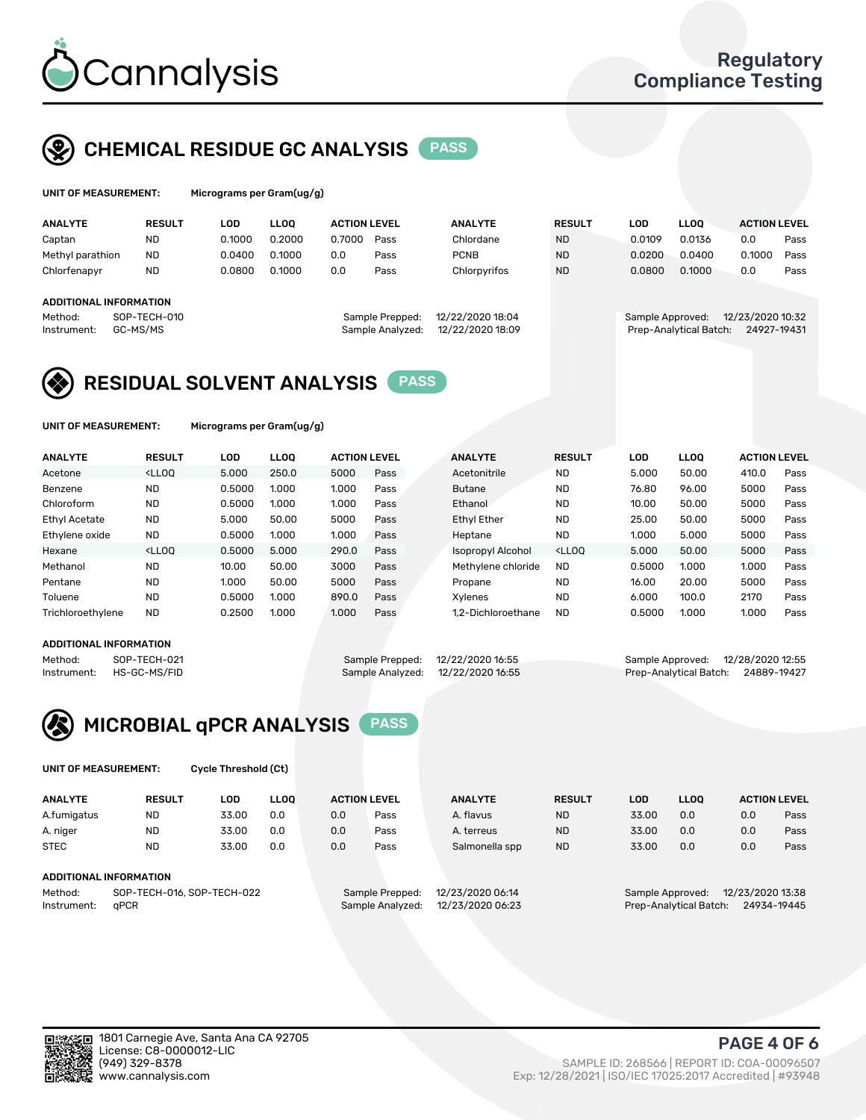

## CHEMICAL RESIDUE GC ANALYSIS PASS

| UNIT OF MEASUREMENT: | м |
|----------------------|---|
|                      |   |

icrograms per Gram(ug/g)

| <b>ANALYTE</b>         | <b>RESULT</b> | LOD    | <b>LLOO</b> | <b>ACTION LEVEL</b> |                  | <b>ANALYTE</b>   | <b>RESULT</b> | <b>LOD</b>             | <b>LLOO</b> | <b>ACTION LEVEL</b> |      |
|------------------------|---------------|--------|-------------|---------------------|------------------|------------------|---------------|------------------------|-------------|---------------------|------|
| Captan                 | <b>ND</b>     | 0.1000 | 0.2000      | 0.7000              | Pass             | Chlordane        | <b>ND</b>     | 0.0109                 | 0.0136      | 0.0                 | Pass |
| Methyl parathion       | <b>ND</b>     | 0.0400 | 0.1000      | 0.0                 | Pass             | <b>PCNB</b>      | <b>ND</b>     | 0.0200                 | 0.0400      | 0.1000              | Pass |
| Chlorfenapyr           | <b>ND</b>     | 0.0800 | 0.1000      | 0.0                 | Pass             | Chlorpyrifos     | <b>ND</b>     | 0.0800                 | 0.1000      | 0.0                 | Pass |
|                        |               |        |             |                     |                  |                  |               |                        |             |                     |      |
| ADDITIONAL INFORMATION |               |        |             |                     |                  |                  |               |                        |             |                     |      |
| Method:                | SOP-TECH-010  |        |             |                     | Sample Prepped:  | 12/22/2020 18:04 |               | Sample Approved:       |             | 12/23/2020 10:32    |      |
| Instrument:            | GC-MS/MS      |        |             |                     | Sample Analyzed: | 12/22/2020 18:09 |               | Prep-Analytical Batch: |             | 24927-19431         |      |
|                        |               |        |             |                     |                  |                  |               |                        |             |                     |      |

## RESIDUAL SOLVENT ANALYSIS PASS

UNIT OF MEASUREMENT: Micrograms per Gram(ug/g)

| <b>ACTION LEVEL</b> |
|---------------------|
| Pass                |
| Pass                |
| Pass                |
| Pass                |
| Pass                |
| Pass                |
| Pass                |
| Pass                |
| Pass                |
| Pass                |
|                     |

#### ADDITIONAL INFORMATION

|         | ADDITIONAL INFORMATION   |                                   |                                    |  |
|---------|--------------------------|-----------------------------------|------------------------------------|--|
| Method: | SOP-TECH-021             | Sample Prepped: 12/22/2020 16:55  | Sample Approved: 12/28/2020 12:55  |  |
|         | Instrument: HS-GC-MS/FID | Sample Analyzed: 12/22/2020 16:55 | Prep-Analytical Batch: 24889-19427 |  |



UNIT OF MEASUREMENT: Cycle Threshold (Ct)

| <b>ANALYTE</b> | <b>RESULT</b>              | LOD   | <b>LLOO</b> | <b>ACTION LEVEL</b> |                 | <b>ANALYTE</b>   | <b>RESULT</b> | LOD   | <b>LLOO</b>      |                  | <b>ACTION LEVEL</b> |
|----------------|----------------------------|-------|-------------|---------------------|-----------------|------------------|---------------|-------|------------------|------------------|---------------------|
| A.fumigatus    | <b>ND</b>                  | 33.00 | 0.0         | 0.0                 | Pass            | A. flavus        | <b>ND</b>     | 33.00 | 0.0              | 0.0              | Pass                |
| A. niger       | <b>ND</b>                  | 33.00 | 0.0         | 0.0                 | Pass            | A. terreus       | <b>ND</b>     | 33.00 | 0.0              | 0.0              | Pass                |
| <b>STEC</b>    | <b>ND</b>                  | 33.00 | 0.0         | 0.0                 | Pass            | Salmonella spp   | <b>ND</b>     | 33.00 | 0.0              | 0.0              | Pass                |
|                | ADDITIONAL INFORMATION     |       |             |                     |                 |                  |               |       |                  |                  |                     |
| Method:        | SOP-TECH-016, SOP-TECH-022 |       |             |                     | Sample Prepped: | 12/23/2020 06:14 |               |       | Sample Approved: | 12/23/2020 13:38 |                     |

Instrument: qPCR Sample Analyzed: 12/23/2020 06:23 Prep-Analytical Batch: 24934-19445

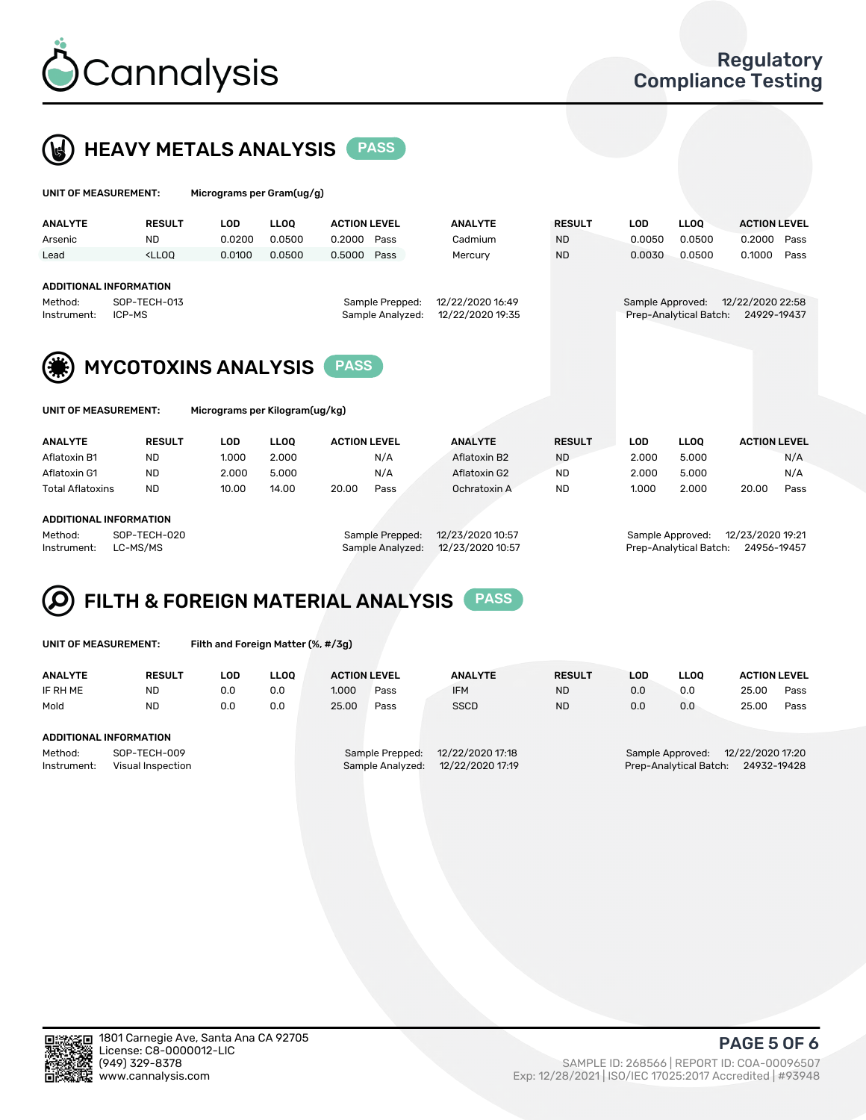



| UNIT OF MEASUREMENT:                                                       |                                                                                                                                                                                        | Micrograms per Gram(ug/g) |                                                                             |                               |      |                           |                            |                        |                                 |                     |      |
|----------------------------------------------------------------------------|----------------------------------------------------------------------------------------------------------------------------------------------------------------------------------------|---------------------------|-----------------------------------------------------------------------------|-------------------------------|------|---------------------------|----------------------------|------------------------|---------------------------------|---------------------|------|
| <b>ANALYTE</b>                                                             | <b>RESULT</b><br><b>ND</b>                                                                                                                                                             | <b>LOD</b><br>0.0200      | <b>LLOO</b><br>0.0500                                                       | <b>ACTION LEVEL</b><br>0.2000 | Pass | <b>ANALYTE</b><br>Cadmium | <b>RESULT</b><br><b>ND</b> | <b>LOD</b><br>0.0050   | <b>LLOO</b><br>0.0500           | <b>ACTION LEVEL</b> | Pass |
| Arsenic<br>Lead                                                            | <lloo< td=""><td>0.0100</td><td>0.0500</td><td>0.5000</td><td>Pass</td><td>Mercury</td><td><b>ND</b></td><td>0.0030</td><td>0.0500</td><td>0.2000<br/>0.1000</td><td>Pass</td></lloo<> | 0.0100                    | 0.0500                                                                      | 0.5000                        | Pass | Mercury                   | <b>ND</b>                  | 0.0030                 | 0.0500                          | 0.2000<br>0.1000    | Pass |
| ADDITIONAL INFORMATION<br>SOP-TECH-013<br>Method:<br>ICP-MS<br>Instrument: |                                                                                                                                                                                        |                           | 12/22/2020 16:49<br>Sample Prepped:<br>12/22/2020 19:35<br>Sample Analyzed: |                               |      |                           | Sample Approved:           | Prep-Analytical Batch: | 12/22/2020 22:58<br>24929-19437 |                     |      |
| (兼)                                                                        | <b>MYCOTOXINS ANALYSIS</b>                                                                                                                                                             |                           |                                                                             |                               |      |                           |                            |                        |                                 |                     |      |

UNIT OF MEASUREMENT: Micrograms per Kilogram(ug/kg)

| <b>ANALYTE</b>          | <b>RESULT</b> | LOD   | LLOO  | <b>ACTION LEVEL</b> |      | <b>ANALYTE</b> |              | <b>RESULT</b> | LOD   | <b>LLOO</b> |       | <b>ACTION LEVEL</b> |
|-------------------------|---------------|-------|-------|---------------------|------|----------------|--------------|---------------|-------|-------------|-------|---------------------|
| Aflatoxin B1            | <b>ND</b>     | 1.000 | 2.000 |                     | N/A  |                | Aflatoxin B2 | <b>ND</b>     | 2.000 | 5.000       |       | N/A                 |
| Aflatoxin G1            | <b>ND</b>     | 2.000 | 5.000 |                     | N/A  |                | Aflatoxin G2 | <b>ND</b>     | 2.000 | 5.000       |       | N/A                 |
| <b>Total Aflatoxins</b> | <b>ND</b>     | 10.00 | 14.00 | 20.00               | Pass |                | Ochratoxin A | <b>ND</b>     | 1.000 | 2.000       | 20.00 | Pass                |
|                         |               |       |       |                     |      |                |              |               |       |             |       |                     |
|                         |               |       |       |                     |      |                |              |               |       |             |       |                     |

#### ADDITIONAL INFORMATION

Method: SOP-TECH-020 Sample Prepped: 12/23/2020 10:57 Sample Approved: 12/23/2020 19:21 Instrument: LC-MS/MS Sample Analyzed: 12/23/2020 10:57 Prep-Analytical Batch: 24956-19457

# FILTH & FOREIGN MATERIAL ANALYSIS PASS

UNIT OF MEASUREMENT: Filth and Foreign Matter (%, #/3g)

| <b>ANALYTE</b>                                              | <b>RESULT</b> | LOD | <b>LLOO</b> | <b>ACTION LEVEL</b>                                                         |      | <b>ANALYTE</b> | <b>RESULT</b> | LOD                                                                           | <b>LLOO</b> | <b>ACTION LEVEL</b> |      |
|-------------------------------------------------------------|---------------|-----|-------------|-----------------------------------------------------------------------------|------|----------------|---------------|-------------------------------------------------------------------------------|-------------|---------------------|------|
| IF RH ME                                                    | <b>ND</b>     | 0.0 | 0.0         | 1.000                                                                       | Pass | <b>IFM</b>     | <b>ND</b>     | 0.0                                                                           | 0.0         | 25.00               | Pass |
| Mold                                                        | <b>ND</b>     | 0.0 | 0.0         | 25.00                                                                       | Pass | <b>SSCD</b>    | <b>ND</b>     | 0.0                                                                           | 0.0         | 25.00               | Pass |
| ADDITIONAL INFORMATION                                      |               |     |             |                                                                             |      |                |               |                                                                               |             |                     |      |
| Method:<br>SOP-TECH-009<br>Instrument:<br>Visual Inspection |               |     |             | 12/22/2020 17:18<br>Sample Prepped:<br>12/22/2020 17:19<br>Sample Analyzed: |      |                |               | 12/22/2020 17:20<br>Sample Approved:<br>Prep-Analytical Batch:<br>24932-19428 |             |                     |      |



PAGE 5 OF 6